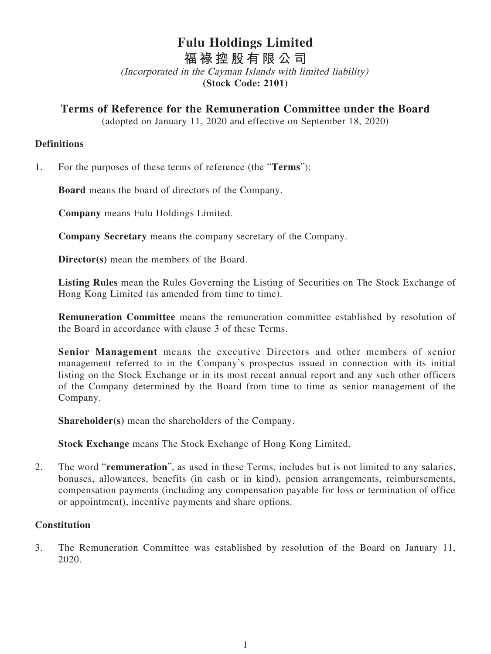# **Fulu Holdings Limited**

**福 祿 控股有限公司**

(Incorporated in the Cayman Islands with limited liability) **(Stock Code: 2101)**

**Terms of Reference for the Remuneration Committee under the Board**

(adopted on January 11, 2020 and effective on September 18, 2020)

## **Definitions**

1. For the purposes of these terms of reference (the "**Terms**"):

**Board** means the board of directors of the Company.

**Company** means Fulu Holdings Limited.

**Company Secretary** means the company secretary of the Company.

**Director(s)** mean the members of the Board.

**Listing Rules** mean the Rules Governing the Listing of Securities on The Stock Exchange of Hong Kong Limited (as amended from time to time).

**Remuneration Committee** means the remuneration committee established by resolution of the Board in accordance with clause 3 of these Terms.

**Senior Management** means the executive Directors and other members of senior management referred to in the Company's prospectus issued in connection with its initial listing on the Stock Exchange or in its most recent annual report and any such other officers of the Company determined by the Board from time to time as senior management of the Company.

**Shareholder(s)** mean the shareholders of the Company.

**Stock Exchange** means The Stock Exchange of Hong Kong Limited.

2. The word "**remuneration**", as used in these Terms, includes but is not limited to any salaries, bonuses, allowances, benefits (in cash or in kind), pension arrangements, reimbursements, compensation payments (including any compensation payable for loss or termination of office or appointment), incentive payments and share options.

# **Constitution**

3. The Remuneration Committee was established by resolution of the Board on January 11, 2020.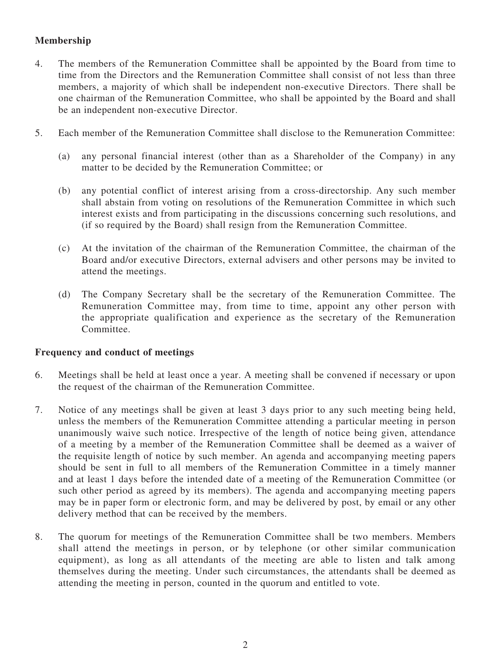# **Membership**

- 4. The members of the Remuneration Committee shall be appointed by the Board from time to time from the Directors and the Remuneration Committee shall consist of not less than three members, a majority of which shall be independent non-executive Directors. There shall be one chairman of the Remuneration Committee, who shall be appointed by the Board and shall be an independent non-executive Director.
- 5. Each member of the Remuneration Committee shall disclose to the Remuneration Committee:
	- (a) any personal financial interest (other than as a Shareholder of the Company) in any matter to be decided by the Remuneration Committee; or
	- (b) any potential conflict of interest arising from a cross-directorship. Any such member shall abstain from voting on resolutions of the Remuneration Committee in which such interest exists and from participating in the discussions concerning such resolutions, and (if so required by the Board) shall resign from the Remuneration Committee.
	- (c) At the invitation of the chairman of the Remuneration Committee, the chairman of the Board and/or executive Directors, external advisers and other persons may be invited to attend the meetings.
	- (d) The Company Secretary shall be the secretary of the Remuneration Committee. The Remuneration Committee may, from time to time, appoint any other person with the appropriate qualification and experience as the secretary of the Remuneration Committee.

### **Frequency and conduct of meetings**

- 6. Meetings shall be held at least once a year. A meeting shall be convened if necessary or upon the request of the chairman of the Remuneration Committee.
- 7. Notice of any meetings shall be given at least 3 days prior to any such meeting being held, unless the members of the Remuneration Committee attending a particular meeting in person unanimously waive such notice. Irrespective of the length of notice being given, attendance of a meeting by a member of the Remuneration Committee shall be deemed as a waiver of the requisite length of notice by such member. An agenda and accompanying meeting papers should be sent in full to all members of the Remuneration Committee in a timely manner and at least 1 days before the intended date of a meeting of the Remuneration Committee (or such other period as agreed by its members). The agenda and accompanying meeting papers may be in paper form or electronic form, and may be delivered by post, by email or any other delivery method that can be received by the members.
- 8. The quorum for meetings of the Remuneration Committee shall be two members. Members shall attend the meetings in person, or by telephone (or other similar communication equipment), as long as all attendants of the meeting are able to listen and talk among themselves during the meeting. Under such circumstances, the attendants shall be deemed as attending the meeting in person, counted in the quorum and entitled to vote.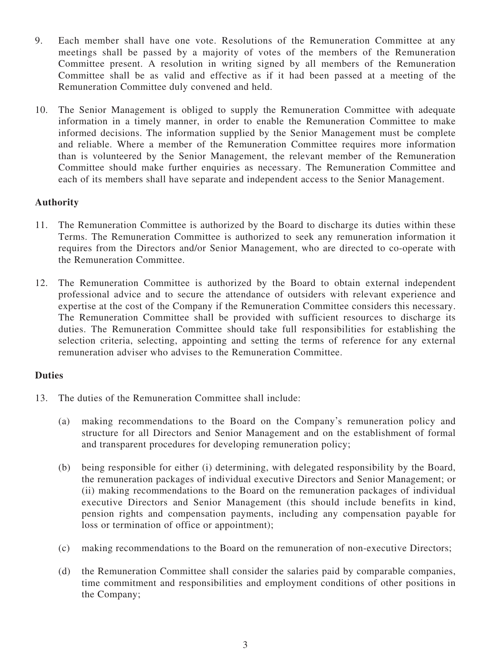- 9. Each member shall have one vote. Resolutions of the Remuneration Committee at any meetings shall be passed by a majority of votes of the members of the Remuneration Committee present. A resolution in writing signed by all members of the Remuneration Committee shall be as valid and effective as if it had been passed at a meeting of the Remuneration Committee duly convened and held.
- 10. The Senior Management is obliged to supply the Remuneration Committee with adequate information in a timely manner, in order to enable the Remuneration Committee to make informed decisions. The information supplied by the Senior Management must be complete and reliable. Where a member of the Remuneration Committee requires more information than is volunteered by the Senior Management, the relevant member of the Remuneration Committee should make further enquiries as necessary. The Remuneration Committee and each of its members shall have separate and independent access to the Senior Management.

## **Authority**

- 11. The Remuneration Committee is authorized by the Board to discharge its duties within these Terms. The Remuneration Committee is authorized to seek any remuneration information it requires from the Directors and/or Senior Management, who are directed to co-operate with the Remuneration Committee.
- 12. The Remuneration Committee is authorized by the Board to obtain external independent professional advice and to secure the attendance of outsiders with relevant experience and expertise at the cost of the Company if the Remuneration Committee considers this necessary. The Remuneration Committee shall be provided with sufficient resources to discharge its duties. The Remuneration Committee should take full responsibilities for establishing the selection criteria, selecting, appointing and setting the terms of reference for any external remuneration adviser who advises to the Remuneration Committee.

### **Duties**

- 13. The duties of the Remuneration Committee shall include:
	- (a) making recommendations to the Board on the Company's remuneration policy and structure for all Directors and Senior Management and on the establishment of formal and transparent procedures for developing remuneration policy;
	- (b) being responsible for either (i) determining, with delegated responsibility by the Board, the remuneration packages of individual executive Directors and Senior Management; or (ii) making recommendations to the Board on the remuneration packages of individual executive Directors and Senior Management (this should include benefits in kind, pension rights and compensation payments, including any compensation payable for loss or termination of office or appointment);
	- (c) making recommendations to the Board on the remuneration of non-executive Directors;
	- (d) the Remuneration Committee shall consider the salaries paid by comparable companies, time commitment and responsibilities and employment conditions of other positions in the Company;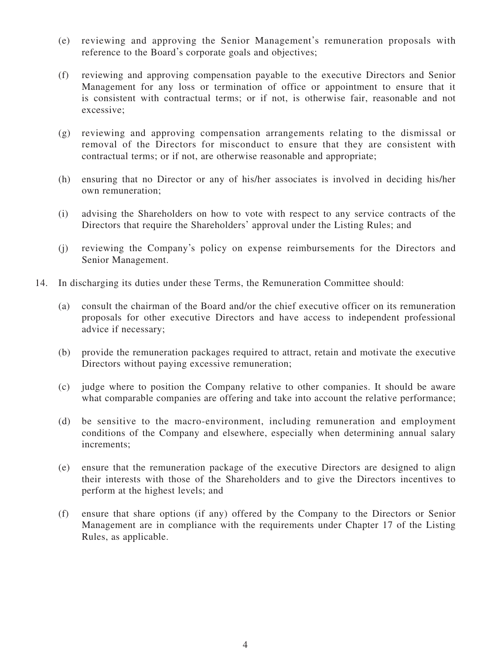- (e) reviewing and approving the Senior Management's remuneration proposals with reference to the Board's corporate goals and objectives;
- (f) reviewing and approving compensation payable to the executive Directors and Senior Management for any loss or termination of office or appointment to ensure that it is consistent with contractual terms; or if not, is otherwise fair, reasonable and not excessive;
- (g) reviewing and approving compensation arrangements relating to the dismissal or removal of the Directors for misconduct to ensure that they are consistent with contractual terms; or if not, are otherwise reasonable and appropriate;
- (h) ensuring that no Director or any of his/her associates is involved in deciding his/her own remuneration;
- (i) advising the Shareholders on how to vote with respect to any service contracts of the Directors that require the Shareholders' approval under the Listing Rules; and
- (j) reviewing the Company's policy on expense reimbursements for the Directors and Senior Management.
- 14. In discharging its duties under these Terms, the Remuneration Committee should:
	- (a) consult the chairman of the Board and/or the chief executive officer on its remuneration proposals for other executive Directors and have access to independent professional advice if necessary;
	- (b) provide the remuneration packages required to attract, retain and motivate the executive Directors without paying excessive remuneration;
	- (c) judge where to position the Company relative to other companies. It should be aware what comparable companies are offering and take into account the relative performance;
	- (d) be sensitive to the macro-environment, including remuneration and employment conditions of the Company and elsewhere, especially when determining annual salary increments;
	- (e) ensure that the remuneration package of the executive Directors are designed to align their interests with those of the Shareholders and to give the Directors incentives to perform at the highest levels; and
	- (f) ensure that share options (if any) offered by the Company to the Directors or Senior Management are in compliance with the requirements under Chapter 17 of the Listing Rules, as applicable.